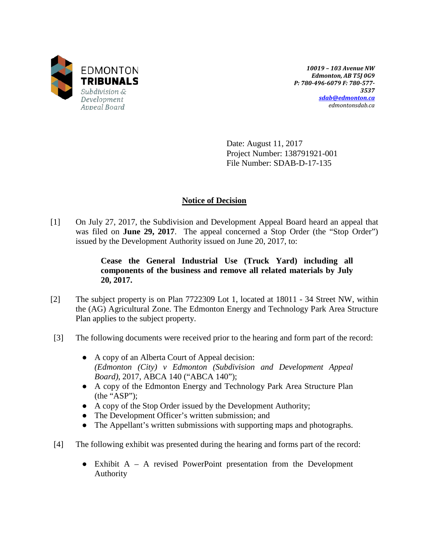

*10019 – 103 Avenue NW Edmonton, AB T5J 0G9 P: 780-496-6079 F: 780-577- 3537 [sdab@edmonton.ca](mailto:sdab@edmonton.ca) edmontonsdab.ca*

Date: August 11, 2017 Project Number: 138791921-001 File Number: SDAB-D-17-135

# **Notice of Decision**

[1] On July 27, 2017, the Subdivision and Development Appeal Board heard an appeal that was filed on **June 29, 2017**. The appeal concerned a Stop Order (the "Stop Order") issued by the Development Authority issued on June 20, 2017, to:

# **Cease the General Industrial Use (Truck Yard) including all components of the business and remove all related materials by July 20, 2017.**

- [2] The subject property is on Plan 7722309 Lot 1, located at 18011 34 Street NW, within the (AG) Agricultural Zone. The Edmonton Energy and Technology Park Area Structure Plan applies to the subject property.
- [3] The following documents were received prior to the hearing and form part of the record:
	- A copy of an Alberta Court of Appeal decision: *(Edmonton (City) v Edmonton (Subdivision and Development Appeal Board)*, 2017, ABCA 140 ("ABCA 140");
	- A copy of the Edmonton Energy and Technology Park Area Structure Plan (the "ASP");
	- A copy of the Stop Order issued by the Development Authority;
	- The Development Officer's written submission; and
	- The Appellant's written submissions with supporting maps and photographs.
- [4] The following exhibit was presented during the hearing and forms part of the record:
	- $\bullet$  Exhibit A A revised PowerPoint presentation from the Development Authority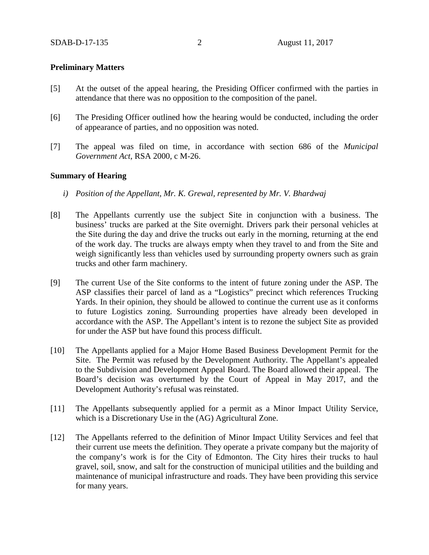## **Preliminary Matters**

- [5] At the outset of the appeal hearing, the Presiding Officer confirmed with the parties in attendance that there was no opposition to the composition of the panel.
- [6] The Presiding Officer outlined how the hearing would be conducted, including the order of appearance of parties, and no opposition was noted.
- [7] The appeal was filed on time, in accordance with section 686 of the *Municipal Government Act*, RSA 2000, c M-26.

## **Summary of Hearing**

- *i) Position of the Appellant, Mr. K. Grewal, represented by Mr. V. Bhardwaj*
- [8] The Appellants currently use the subject Site in conjunction with a business. The business' trucks are parked at the Site overnight. Drivers park their personal vehicles at the Site during the day and drive the trucks out early in the morning, returning at the end of the work day. The trucks are always empty when they travel to and from the Site and weigh significantly less than vehicles used by surrounding property owners such as grain trucks and other farm machinery.
- [9] The current Use of the Site conforms to the intent of future zoning under the ASP. The ASP classifies their parcel of land as a "Logistics" precinct which references Trucking Yards. In their opinion, they should be allowed to continue the current use as it conforms to future Logistics zoning. Surrounding properties have already been developed in accordance with the ASP. The Appellant's intent is to rezone the subject Site as provided for under the ASP but have found this process difficult.
- [10] The Appellants applied for a Major Home Based Business Development Permit for the Site. The Permit was refused by the Development Authority. The Appellant's appealed to the Subdivision and Development Appeal Board. The Board allowed their appeal. The Board's decision was overturned by the Court of Appeal in May 2017, and the Development Authority's refusal was reinstated.
- [11] The Appellants subsequently applied for a permit as a Minor Impact Utility Service, which is a Discretionary Use in the (AG) Agricultural Zone.
- [12] The Appellants referred to the definition of Minor Impact Utility Services and feel that their current use meets the definition. They operate a private company but the majority of the company's work is for the City of Edmonton. The City hires their trucks to haul gravel, soil, snow, and salt for the construction of municipal utilities and the building and maintenance of municipal infrastructure and roads. They have been providing this service for many years.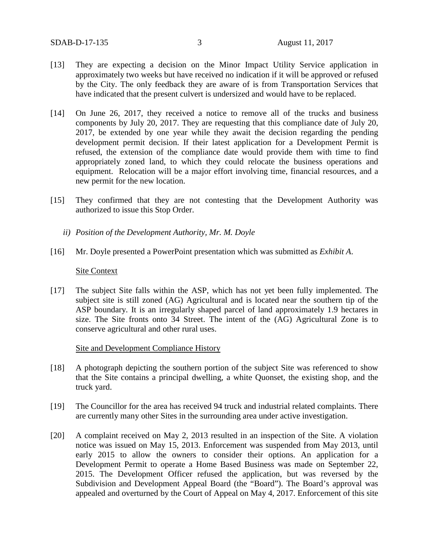- [13] They are expecting a decision on the Minor Impact Utility Service application in approximately two weeks but have received no indication if it will be approved or refused by the City. The only feedback they are aware of is from Transportation Services that have indicated that the present culvert is undersized and would have to be replaced.
- [14] On June 26, 2017, they received a notice to remove all of the trucks and business components by July 20, 2017. They are requesting that this compliance date of July 20, 2017, be extended by one year while they await the decision regarding the pending development permit decision. If their latest application for a Development Permit is refused, the extension of the compliance date would provide them with time to find appropriately zoned land, to which they could relocate the business operations and equipment. Relocation will be a major effort involving time, financial resources, and a new permit for the new location.
- [15] They confirmed that they are not contesting that the Development Authority was authorized to issue this Stop Order.
	- *ii) Position of the Development Authority, Mr. M. Doyle*
- [16] Mr. Doyle presented a PowerPoint presentation which was submitted as *Exhibit A*.

#### Site Context

[17] The subject Site falls within the ASP, which has not yet been fully implemented. The subject site is still zoned (AG) Agricultural and is located near the southern tip of the ASP boundary. It is an irregularly shaped parcel of land approximately 1.9 hectares in size. The Site fronts onto 34 Street. The intent of the (AG) Agricultural Zone is to conserve agricultural and other rural uses.

Site and Development Compliance History

- [18] A photograph depicting the southern portion of the subject Site was referenced to show that the Site contains a principal dwelling, a white Quonset, the existing shop, and the truck yard.
- [19] The Councillor for the area has received 94 truck and industrial related complaints. There are currently many other Sites in the surrounding area under active investigation.
- [20] A complaint received on May 2, 2013 resulted in an inspection of the Site. A violation notice was issued on May 15, 2013. Enforcement was suspended from May 2013, until early 2015 to allow the owners to consider their options. An application for a Development Permit to operate a Home Based Business was made on September 22, 2015. The Development Officer refused the application, but was reversed by the Subdivision and Development Appeal Board (the "Board"). The Board's approval was appealed and overturned by the Court of Appeal on May 4, 2017. Enforcement of this site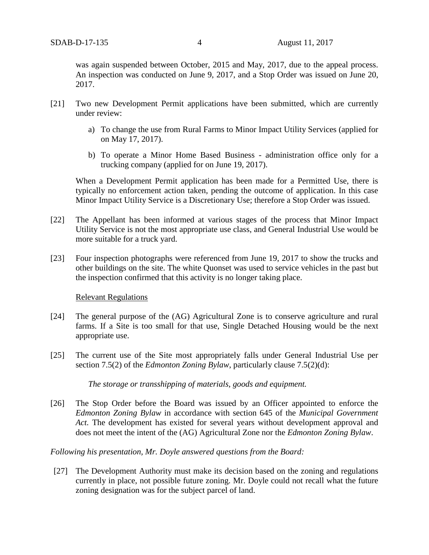was again suspended between October, 2015 and May, 2017, due to the appeal process. An inspection was conducted on June 9, 2017, and a Stop Order was issued on June 20, 2017.

- [21] Two new Development Permit applications have been submitted, which are currently under review:
	- a) To change the use from Rural Farms to Minor Impact Utility Services (applied for on May 17, 2017).
	- b) To operate a Minor Home Based Business administration office only for a trucking company (applied for on June 19, 2017).

When a Development Permit application has been made for a Permitted Use, there is typically no enforcement action taken, pending the outcome of application. In this case Minor Impact Utility Service is a Discretionary Use; therefore a Stop Order was issued.

- [22] The Appellant has been informed at various stages of the process that Minor Impact Utility Service is not the most appropriate use class, and General Industrial Use would be more suitable for a truck yard.
- [23] Four inspection photographs were referenced from June 19, 2017 to show the trucks and other buildings on the site. The white Quonset was used to service vehicles in the past but the inspection confirmed that this activity is no longer taking place.

## Relevant Regulations

- [24] The general purpose of the (AG) Agricultural Zone is to conserve agriculture and rural farms. If a Site is too small for that use, Single Detached Housing would be the next appropriate use.
- [25] The current use of the Site most appropriately falls under General Industrial Use per section 7.5(2) of the *Edmonton Zoning Bylaw*, particularly clause 7.5(2)(d):

*The storage or transshipping of materials, goods and equipment.*

[26] The Stop Order before the Board was issued by an Officer appointed to enforce the *Edmonton Zoning Bylaw* in accordance with section 645 of the *Municipal Government Act.* The development has existed for several years without development approval and does not meet the intent of the (AG) Agricultural Zone nor the *Edmonton Zoning Bylaw*.

## *Following his presentation, Mr. Doyle answered questions from the Board:*

[27] The Development Authority must make its decision based on the zoning and regulations currently in place, not possible future zoning. Mr. Doyle could not recall what the future zoning designation was for the subject parcel of land.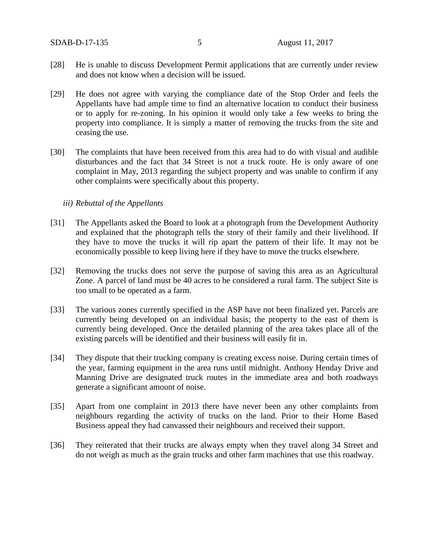SDAB-D-17-135 5 August 11, 2017

- [28] He is unable to discuss Development Permit applications that are currently under review and does not know when a decision will be issued.
- [29] He does not agree with varying the compliance date of the Stop Order and feels the Appellants have had ample time to find an alternative location to conduct their business or to apply for re-zoning. In his opinion it would only take a few weeks to bring the property into compliance. It is simply a matter of removing the trucks from the site and ceasing the use.
- [30] The complaints that have been received from this area had to do with visual and audible disturbances and the fact that 34 Street is not a truck route. He is only aware of one complaint in May, 2013 regarding the subject property and was unable to confirm if any other complaints were specifically about this property.

## *iii) Rebuttal of the Appellants*

- [31] The Appellants asked the Board to look at a photograph from the Development Authority and explained that the photograph tells the story of their family and their livelihood. If they have to move the trucks it will rip apart the pattern of their life. It may not be economically possible to keep living here if they have to move the trucks elsewhere.
- [32] Removing the trucks does not serve the purpose of saving this area as an Agricultural Zone. A parcel of land must be 40 acres to be considered a rural farm. The subject Site is too small to be operated as a farm.
- [33] The various zones currently specified in the ASP have not been finalized yet. Parcels are currently being developed on an individual basis; the property to the east of them is currently being developed. Once the detailed planning of the area takes place all of the existing parcels will be identified and their business will easily fit in.
- [34] They dispute that their trucking company is creating excess noise. During certain times of the year, farming equipment in the area runs until midnight. Anthony Henday Drive and Manning Drive are designated truck routes in the immediate area and both roadways generate a significant amount of noise.
- [35] Apart from one complaint in 2013 there have never been any other complaints from neighbours regarding the activity of trucks on the land. Prior to their Home Based Business appeal they had canvassed their neighbours and received their support.
- [36] They reiterated that their trucks are always empty when they travel along 34 Street and do not weigh as much as the grain trucks and other farm machines that use this roadway.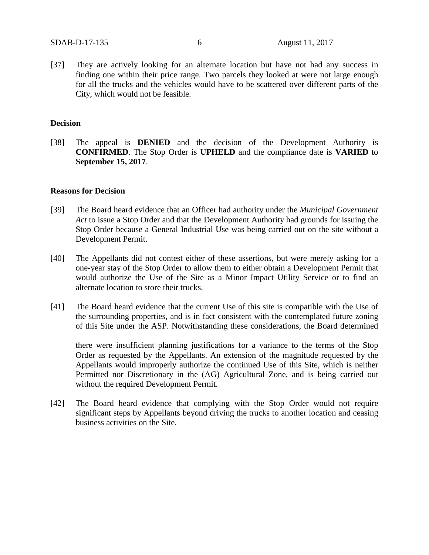[37] They are actively looking for an alternate location but have not had any success in finding one within their price range. Two parcels they looked at were not large enough for all the trucks and the vehicles would have to be scattered over different parts of the City, which would not be feasible.

## **Decision**

[38] The appeal is **DENIED** and the decision of the Development Authority is **CONFIRMED**. The Stop Order is **UPHELD** and the compliance date is **VARIED** to **September 15, 2017**.

#### **Reasons for Decision**

- [39] The Board heard evidence that an Officer had authority under the *Municipal Government Act* to issue a Stop Order and that the Development Authority had grounds for issuing the Stop Order because a General Industrial Use was being carried out on the site without a Development Permit.
- [40] The Appellants did not contest either of these assertions, but were merely asking for a one-year stay of the Stop Order to allow them to either obtain a Development Permit that would authorize the Use of the Site as a Minor Impact Utility Service or to find an alternate location to store their trucks.
- [41] The Board heard evidence that the current Use of this site is compatible with the Use of the surrounding properties, and is in fact consistent with the contemplated future zoning of this Site under the ASP. Notwithstanding these considerations, the Board determined

there were insufficient planning justifications for a variance to the terms of the Stop Order as requested by the Appellants. An extension of the magnitude requested by the Appellants would improperly authorize the continued Use of this Site, which is neither Permitted nor Discretionary in the (AG) Agricultural Zone, and is being carried out without the required Development Permit.

[42] The Board heard evidence that complying with the Stop Order would not require significant steps by Appellants beyond driving the trucks to another location and ceasing business activities on the Site.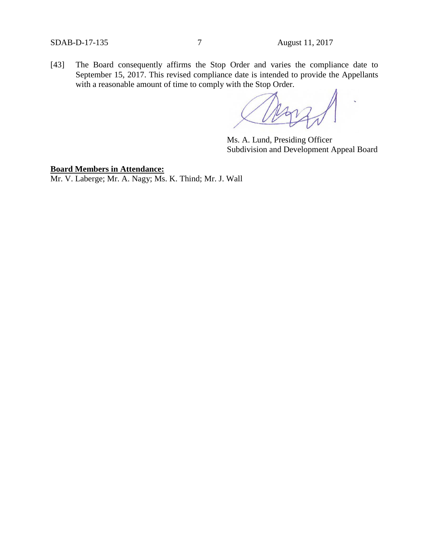[43] The Board consequently affirms the Stop Order and varies the compliance date to September 15, 2017. This revised compliance date is intended to provide the Appellants with a reasonable amount of time to comply with the Stop Order.

Ms. A. Lund, Presiding Officer Subdivision and Development Appeal Board

# **Board Members in Attendance:**

Mr. V. Laberge; Mr. A. Nagy; Ms. K. Thind; Mr. J. Wall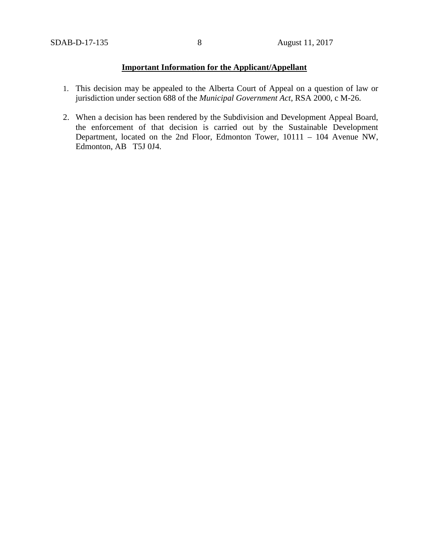# **Important Information for the Applicant/Appellant**

- 1. This decision may be appealed to the Alberta Court of Appeal on a question of law or jurisdiction under section 688 of the *Municipal Government Act*, RSA 2000, c M-26.
- 2. When a decision has been rendered by the Subdivision and Development Appeal Board, the enforcement of that decision is carried out by the Sustainable Development Department, located on the 2nd Floor, Edmonton Tower, 10111 – 104 Avenue NW, Edmonton, AB T5J 0J4.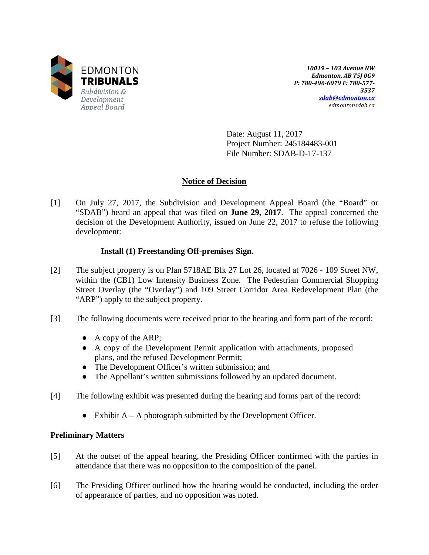

*10019 – 103 Avenue NW Edmonton, AB T5J 0G9 P: 780-496-6079 F: 780-577- 3537 [sdab@edmonton.ca](mailto:sdab@edmonton.ca) edmontonsdab.ca*

Date: August 11, 2017 Project Number: 245184483-001 File Number: SDAB-D-17-137

## **Notice of Decision**

[1] On July 27, 2017, the Subdivision and Development Appeal Board (the "Board" or "SDAB") heard an appeal that was filed on **June 29, 2017**. The appeal concerned the decision of the Development Authority, issued on June 22, 2017 to refuse the following development:

## **Install (1) Freestanding Off-premises Sign.**

- [2] The subject property is on Plan 5718AE Blk 27 Lot 26, located at 7026 109 Street NW, within the (CB1) Low Intensity Business Zone. The Pedestrian Commercial Shopping Street Overlay (the "Overlay") and 109 Street Corridor Area Redevelopment Plan (the "ARP") apply to the subject property.
- [3] The following documents were received prior to the hearing and form part of the record:
	- A copy of the ARP;
	- A copy of the Development Permit application with attachments, proposed plans, and the refused Development Permit;
	- The Development Officer's written submission; and
	- The Appellant's written submissions followed by an updated document.
- [4] The following exhibit was presented during the hearing and forms part of the record:
	- Exhibit  $A A$  photograph submitted by the Development Officer.

## **Preliminary Matters**

- [5] At the outset of the appeal hearing, the Presiding Officer confirmed with the parties in attendance that there was no opposition to the composition of the panel.
- [6] The Presiding Officer outlined how the hearing would be conducted, including the order of appearance of parties, and no opposition was noted.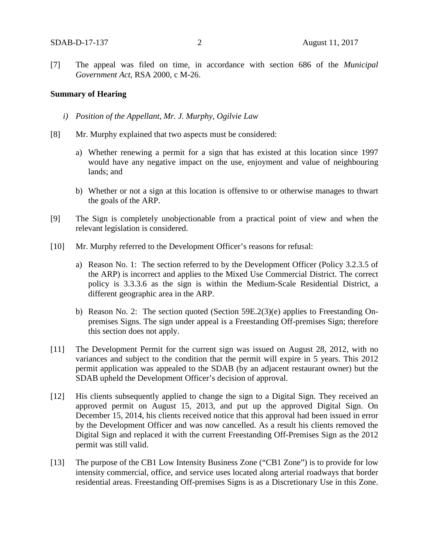[7] The appeal was filed on time, in accordance with section 686 of the *Municipal Government Act*, RSA 2000, c M-26.

## **Summary of Hearing**

- *i) Position of the Appellant, Mr. J. Murphy, Ogilvie Law*
- [8] Mr. Murphy explained that two aspects must be considered:
	- a) Whether renewing a permit for a sign that has existed at this location since 1997 would have any negative impact on the use, enjoyment and value of neighbouring lands; and
	- b) Whether or not a sign at this location is offensive to or otherwise manages to thwart the goals of the ARP.
- [9] The Sign is completely unobjectionable from a practical point of view and when the relevant legislation is considered.
- [10] Mr. Murphy referred to the Development Officer's reasons for refusal:
	- a) Reason No. 1: The section referred to by the Development Officer (Policy 3.2.3.5 of the ARP) is incorrect and applies to the Mixed Use Commercial District. The correct policy is 3.3.3.6 as the sign is within the Medium-Scale Residential District, a different geographic area in the ARP.
	- b) Reason No. 2: The section quoted (Section 59E.2(3)(e) applies to Freestanding Onpremises Signs. The sign under appeal is a Freestanding Off-premises Sign; therefore this section does not apply.
- [11] The Development Permit for the current sign was issued on August 28, 2012, with no variances and subject to the condition that the permit will expire in 5 years. This 2012 permit application was appealed to the SDAB (by an adjacent restaurant owner) but the SDAB upheld the Development Officer's decision of approval.
- [12] His clients subsequently applied to change the sign to a Digital Sign. They received an approved permit on August 15, 2013, and put up the approved Digital Sign. On December 15, 2014, his clients received notice that this approval had been issued in error by the Development Officer and was now cancelled. As a result his clients removed the Digital Sign and replaced it with the current Freestanding Off-Premises Sign as the 2012 permit was still valid.
- [13] The purpose of the CB1 Low Intensity Business Zone ("CB1 Zone") is to provide for low intensity commercial, office, and service uses located along arterial roadways that border residential areas. Freestanding Off-premises Signs is as a Discretionary Use in this Zone.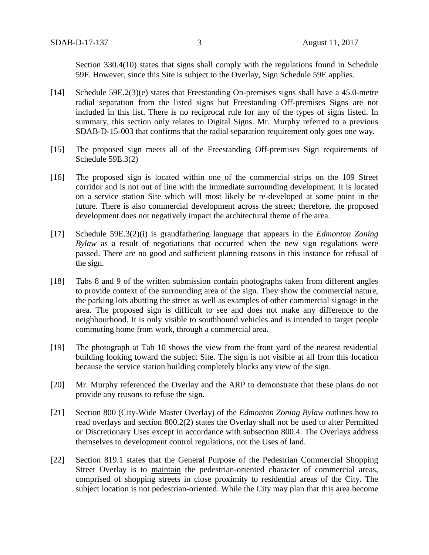Section 330.4(10) states that signs shall comply with the regulations found in Schedule 59F. However, since this Site is subject to the Overlay, Sign Schedule 59E applies.

- [14] Schedule 59E.2(3)(e) states that Freestanding On-premises signs shall have a 45.0-metre radial separation from the listed signs but Freestanding Off-premises Signs are not included in this list. There is no reciprocal rule for any of the types of signs listed. In summary, this section only relates to Digital Signs. Mr. Murphy referred to a previous SDAB-D-15-003 that confirms that the radial separation requirement only goes one way.
- [15] The proposed sign meets all of the Freestanding Off-premises Sign requirements of Schedule 59E.3(2)
- [16] The proposed sign is located within one of the commercial strips on the 109 Street corridor and is not out of line with the immediate surrounding development. It is located on a service station Site which will most likely be re-developed at some point in the future. There is also commercial development across the street; therefore, the proposed development does not negatively impact the architectural theme of the area.
- [17] Schedule 59E.3(2)(i) is grandfathering language that appears in the *Edmonton Zoning Bylaw* as a result of negotiations that occurred when the new sign regulations were passed. There are no good and sufficient planning reasons in this instance for refusal of the sign.
- [18] Tabs 8 and 9 of the written submission contain photographs taken from different angles to provide context of the surrounding area of the sign. They show the commercial nature, the parking lots abutting the street as well as examples of other commercial signage in the area. The proposed sign is difficult to see and does not make any difference to the neighbourhood. It is only visible to southbound vehicles and is intended to target people commuting home from work, through a commercial area.
- [19] The photograph at Tab 10 shows the view from the front yard of the nearest residential building looking toward the subject Site. The sign is not visible at all from this location because the service station building completely blocks any view of the sign.
- [20] Mr. Murphy referenced the Overlay and the ARP to demonstrate that these plans do not provide any reasons to refuse the sign.
- [21] Section 800 (City-Wide Master Overlay) of the *Edmonton Zoning Bylaw* outlines how to read overlays and section 800.2(2) states the Overlay shall not be used to alter Permitted or Discretionary Uses except in accordance with subsection 800.4. The Overlays address themselves to development control regulations, not the Uses of land.
- [22] Section 819.1 states that the General Purpose of the Pedestrian Commercial Shopping Street Overlay is to maintain the pedestrian-oriented character of commercial areas, comprised of shopping streets in close proximity to residential areas of the City. The subject location is not pedestrian-oriented. While the City may plan that this area become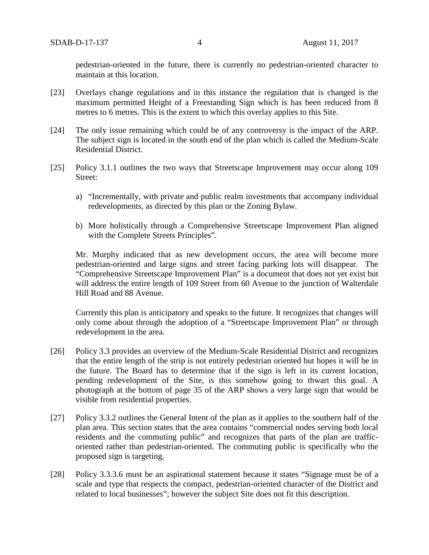pedestrian-oriented in the future, there is currently no pedestrian-oriented character to maintain at this location.

- [23] Overlays change regulations and in this instance the regulation that is changed is the maximum permitted Height of a Freestanding Sign which is has been reduced from 8 metres to 6 metres. This is the extent to which this overlay applies to this Site.
- [24] The only issue remaining which could be of any controversy is the impact of the ARP. The subject sign is located in the south end of the plan which is called the Medium-Scale Residential District.
- [25] Policy 3.1.1 outlines the two ways that Streetscape Improvement may occur along 109 Street:
	- a) "Incrementally, with private and public realm investments that accompany individual redevelopments, as directed by this plan or the Zoning Bylaw.
	- b) More holistically through a Comprehensive Streetscape Improvement Plan aligned with the Complete Streets Principles".

Mr. Murphy indicated that as new development occurs, the area will become more pedestrian-oriented and large signs and street facing parking lots will disappear. The "Comprehensive Streetscape Improvement Plan" is a document that does not yet exist but will address the entire length of 109 Street from 60 Avenue to the junction of Walterdale Hill Road and 88 Avenue.

Currently this plan is anticipatory and speaks to the future. It recognizes that changes will only come about through the adoption of a "Streetscape Improvement Plan" or through redevelopment in the area.

- [26] Policy 3.3 provides an overview of the Medium-Scale Residential District and recognizes that the entire length of the strip is not entirely pedestrian oriented but hopes it will be in the future. The Board has to determine that if the sign is left in its current location, pending redevelopment of the Site, is this somehow going to thwart this goal. A photograph at the bottom of page 35 of the ARP shows a very large sign that would be visible from residential properties.
- [27] Policy 3.3.2 outlines the General Intent of the plan as it applies to the southern half of the plan area. This section states that the area contains "commercial nodes serving both local residents and the commuting public" and recognizes that parts of the plan are trafficoriented rather than pedestrian-oriented. The commuting public is specifically who the proposed sign is targeting.
- [28] Policy 3.3.3.6 must be an aspirational statement because it states "Signage must be of a scale and type that respects the compact, pedestrian-oriented character of the District and related to local businesses"; however the subject Site does not fit this description.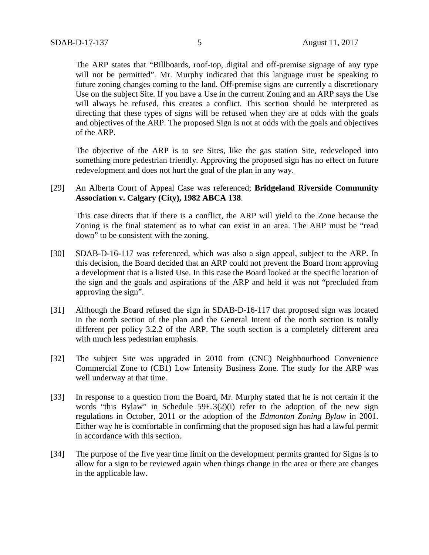The ARP states that "Billboards, roof-top, digital and off-premise signage of any type will not be permitted". Mr. Murphy indicated that this language must be speaking to future zoning changes coming to the land. Off-premise signs are currently a discretionary Use on the subject Site. If you have a Use in the current Zoning and an ARP says the Use will always be refused, this creates a conflict. This section should be interpreted as directing that these types of signs will be refused when they are at odds with the goals and objectives of the ARP. The proposed Sign is not at odds with the goals and objectives of the ARP.

The objective of the ARP is to see Sites, like the gas station Site, redeveloped into something more pedestrian friendly. Approving the proposed sign has no effect on future redevelopment and does not hurt the goal of the plan in any way.

[29] An Alberta Court of Appeal Case was referenced; **Bridgeland Riverside Community Association v. Calgary (City), 1982 ABCA 138**.

This case directs that if there is a conflict, the ARP will yield to the Zone because the Zoning is the final statement as to what can exist in an area. The ARP must be "read down" to be consistent with the zoning.

- [30] SDAB-D-16-117 was referenced, which was also a sign appeal, subject to the ARP. In this decision, the Board decided that an ARP could not prevent the Board from approving a development that is a listed Use. In this case the Board looked at the specific location of the sign and the goals and aspirations of the ARP and held it was not "precluded from approving the sign".
- [31] Although the Board refused the sign in SDAB-D-16-117 that proposed sign was located in the north section of the plan and the General Intent of the north section is totally different per policy 3.2.2 of the ARP. The south section is a completely different area with much less pedestrian emphasis.
- [32] The subject Site was upgraded in 2010 from (CNC) Neighbourhood Convenience Commercial Zone to (CB1) Low Intensity Business Zone. The study for the ARP was well underway at that time.
- [33] In response to a question from the Board, Mr. Murphy stated that he is not certain if the words "this Bylaw" in Schedule 59E.3(2)(i) refer to the adoption of the new sign regulations in October, 2011 or the adoption of the *Edmonton Zoning Bylaw* in 2001. Either way he is comfortable in confirming that the proposed sign has had a lawful permit in accordance with this section.
- [34] The purpose of the five year time limit on the development permits granted for Signs is to allow for a sign to be reviewed again when things change in the area or there are changes in the applicable law.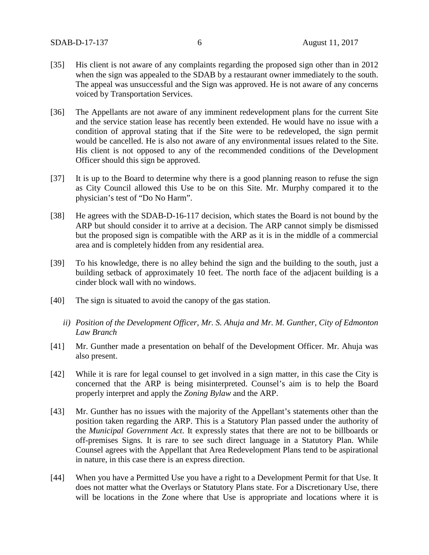- [35] His client is not aware of any complaints regarding the proposed sign other than in 2012 when the sign was appealed to the SDAB by a restaurant owner immediately to the south. The appeal was unsuccessful and the Sign was approved. He is not aware of any concerns voiced by Transportation Services.
- [36] The Appellants are not aware of any imminent redevelopment plans for the current Site and the service station lease has recently been extended. He would have no issue with a condition of approval stating that if the Site were to be redeveloped, the sign permit would be cancelled. He is also not aware of any environmental issues related to the Site. His client is not opposed to any of the recommended conditions of the Development Officer should this sign be approved.
- [37] It is up to the Board to determine why there is a good planning reason to refuse the sign as City Council allowed this Use to be on this Site. Mr. Murphy compared it to the physician's test of "Do No Harm".
- [38] He agrees with the SDAB-D-16-117 decision, which states the Board is not bound by the ARP but should consider it to arrive at a decision. The ARP cannot simply be dismissed but the proposed sign is compatible with the ARP as it is in the middle of a commercial area and is completely hidden from any residential area.
- [39] To his knowledge, there is no alley behind the sign and the building to the south, just a building setback of approximately 10 feet. The north face of the adjacent building is a cinder block wall with no windows.
- [40] The sign is situated to avoid the canopy of the gas station.
	- *ii) Position of the Development Officer, Mr. S. Ahuja and Mr. M. Gunther, City of Edmonton Law Branch*
- [41] Mr. Gunther made a presentation on behalf of the Development Officer. Mr. Ahuja was also present.
- [42] While it is rare for legal counsel to get involved in a sign matter, in this case the City is concerned that the ARP is being misinterpreted. Counsel's aim is to help the Board properly interpret and apply the *Zoning Bylaw* and the ARP.
- [43] Mr. Gunther has no issues with the majority of the Appellant's statements other than the position taken regarding the ARP. This is a Statutory Plan passed under the authority of the *Municipal Government Act*. It expressly states that there are not to be billboards or off-premises Signs. It is rare to see such direct language in a Statutory Plan. While Counsel agrees with the Appellant that Area Redevelopment Plans tend to be aspirational in nature, in this case there is an express direction.
- [44] When you have a Permitted Use you have a right to a Development Permit for that Use. It does not matter what the Overlays or Statutory Plans state. For a Discretionary Use, there will be locations in the Zone where that Use is appropriate and locations where it is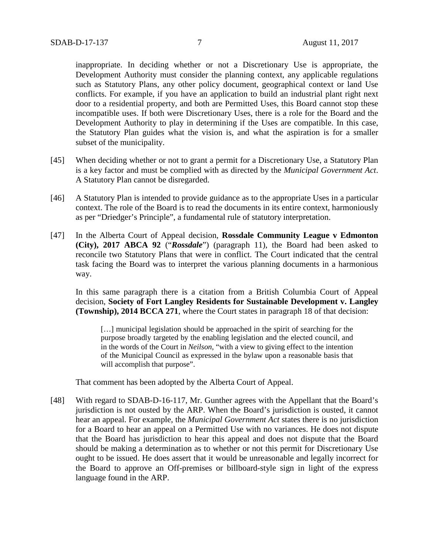inappropriate. In deciding whether or not a Discretionary Use is appropriate, the Development Authority must consider the planning context, any applicable regulations such as Statutory Plans, any other policy document, geographical context or land Use conflicts. For example, if you have an application to build an industrial plant right next door to a residential property, and both are Permitted Uses, this Board cannot stop these incompatible uses. If both were Discretionary Uses, there is a role for the Board and the Development Authority to play in determining if the Uses are compatible. In this case, the Statutory Plan guides what the vision is, and what the aspiration is for a smaller subset of the municipality.

- [45] When deciding whether or not to grant a permit for a Discretionary Use, a Statutory Plan is a key factor and must be complied with as directed by the *Municipal Government Act*. A Statutory Plan cannot be disregarded.
- [46] A Statutory Plan is intended to provide guidance as to the appropriate Uses in a particular context. The role of the Board is to read the documents in its entire context, harmoniously as per "Driedger's Principle", a fundamental rule of statutory interpretation.
- [47] In the Alberta Court of Appeal decision, **Rossdale Community League v Edmonton (City), 2017 ABCA 92** ("*Rossdale*") (paragraph 11), the Board had been asked to reconcile two Statutory Plans that were in conflict. The Court indicated that the central task facing the Board was to interpret the various planning documents in a harmonious way.

In this same paragraph there is a citation from a British Columbia Court of Appeal decision, **Society of Fort Langley Residents for Sustainable Development v. Langley (Township), 2014 BCCA 271**, where the Court states in paragraph 18 of that decision:

[...] municipal legislation should be approached in the spirit of searching for the purpose broadly targeted by the enabling legislation and the elected council, and in the words of the Court in *Neilson*, "with a view to giving effect to the intention of the Municipal Council as expressed in the bylaw upon a reasonable basis that will accomplish that purpose".

That comment has been adopted by the Alberta Court of Appeal.

[48] With regard to SDAB-D-16-117, Mr. Gunther agrees with the Appellant that the Board's jurisdiction is not ousted by the ARP. When the Board's jurisdiction is ousted, it cannot hear an appeal. For example, the *Municipal Government Act* states there is no jurisdiction for a Board to hear an appeal on a Permitted Use with no variances. He does not dispute that the Board has jurisdiction to hear this appeal and does not dispute that the Board should be making a determination as to whether or not this permit for Discretionary Use ought to be issued. He does assert that it would be unreasonable and legally incorrect for the Board to approve an Off-premises or billboard-style sign in light of the express language found in the ARP.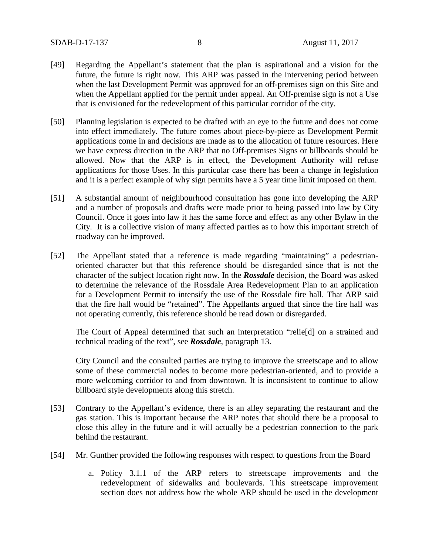- [49] Regarding the Appellant's statement that the plan is aspirational and a vision for the future, the future is right now. This ARP was passed in the intervening period between when the last Development Permit was approved for an off-premises sign on this Site and when the Appellant applied for the permit under appeal. An Off-premise sign is not a Use that is envisioned for the redevelopment of this particular corridor of the city.
- [50] Planning legislation is expected to be drafted with an eye to the future and does not come into effect immediately. The future comes about piece-by-piece as Development Permit applications come in and decisions are made as to the allocation of future resources. Here we have express direction in the ARP that no Off-premises Signs or billboards should be allowed. Now that the ARP is in effect, the Development Authority will refuse applications for those Uses. In this particular case there has been a change in legislation and it is a perfect example of why sign permits have a 5 year time limit imposed on them.
- [51] A substantial amount of neighbourhood consultation has gone into developing the ARP and a number of proposals and drafts were made prior to being passed into law by City Council. Once it goes into law it has the same force and effect as any other Bylaw in the City. It is a collective vision of many affected parties as to how this important stretch of roadway can be improved.
- [52] The Appellant stated that a reference is made regarding "maintaining" a pedestrianoriented character but that this reference should be disregarded since that is not the character of the subject location right now. In the *Rossdale* decision, the Board was asked to determine the relevance of the Rossdale Area Redevelopment Plan to an application for a Development Permit to intensify the use of the Rossdale fire hall. That ARP said that the fire hall would be "retained". The Appellants argued that since the fire hall was not operating currently, this reference should be read down or disregarded.

The Court of Appeal determined that such an interpretation "relie[d] on a strained and technical reading of the text", see *Rossdale*, paragraph 13.

City Council and the consulted parties are trying to improve the streetscape and to allow some of these commercial nodes to become more pedestrian-oriented, and to provide a more welcoming corridor to and from downtown. It is inconsistent to continue to allow billboard style developments along this stretch.

- [53] Contrary to the Appellant's evidence, there is an alley separating the restaurant and the gas station. This is important because the ARP notes that should there be a proposal to close this alley in the future and it will actually be a pedestrian connection to the park behind the restaurant.
- [54] Mr. Gunther provided the following responses with respect to questions from the Board
	- a. Policy 3.1.1 of the ARP refers to streetscape improvements and the redevelopment of sidewalks and boulevards. This streetscape improvement section does not address how the whole ARP should be used in the development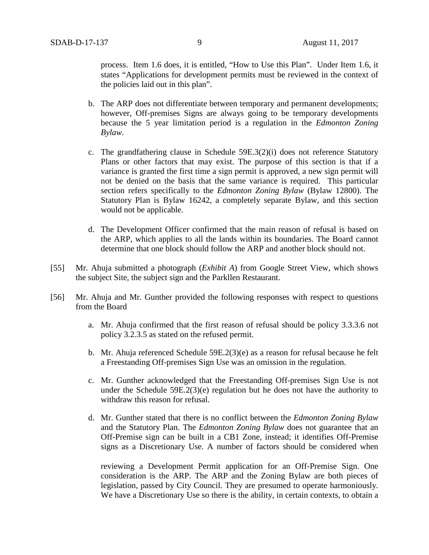process. Item 1.6 does, it is entitled, "How to Use this Plan". Under Item 1.6, it states "Applications for development permits must be reviewed in the context of the policies laid out in this plan".

- b. The ARP does not differentiate between temporary and permanent developments; however, Off-premises Signs are always going to be temporary developments because the 5 year limitation period is a regulation in the *Edmonton Zoning Bylaw*.
- c. The grandfathering clause in Schedule 59E.3(2)(i) does not reference Statutory Plans or other factors that may exist. The purpose of this section is that if a variance is granted the first time a sign permit is approved, a new sign permit will not be denied on the basis that the same variance is required. This particular section refers specifically to the *Edmonton Zoning Bylaw* (Bylaw 12800). The Statutory Plan is Bylaw 16242, a completely separate Bylaw, and this section would not be applicable.
- d. The Development Officer confirmed that the main reason of refusal is based on the ARP, which applies to all the lands within its boundaries. The Board cannot determine that one block should follow the ARP and another block should not.
- [55] Mr. Ahuja submitted a photograph (*Exhibit A*) from Google Street View, which shows the subject Site, the subject sign and the Parkllen Restaurant.
- [56] Mr. Ahuja and Mr. Gunther provided the following responses with respect to questions from the Board
	- a. Mr. Ahuja confirmed that the first reason of refusal should be policy 3.3.3.6 not policy 3.2.3.5 as stated on the refused permit.
	- b. Mr. Ahuja referenced Schedule 59E.2(3)(e) as a reason for refusal because he felt a Freestanding Off-premises Sign Use was an omission in the regulation.
	- c. Mr. Gunther acknowledged that the Freestanding Off-premises Sign Use is not under the Schedule 59E.2(3)(e) regulation but he does not have the authority to withdraw this reason for refusal.
	- d. Mr. Gunther stated that there is no conflict between the *Edmonton Zoning Bylaw* and the Statutory Plan. The *Edmonton Zoning Bylaw* does not guarantee that an Off-Premise sign can be built in a CB1 Zone, instead; it identifies Off-Premise signs as a Discretionary Use. A number of factors should be considered when

reviewing a Development Permit application for an Off-Premise Sign. One consideration is the ARP. The ARP and the Zoning Bylaw are both pieces of legislation, passed by City Council. They are presumed to operate harmoniously. We have a Discretionary Use so there is the ability, in certain contexts, to obtain a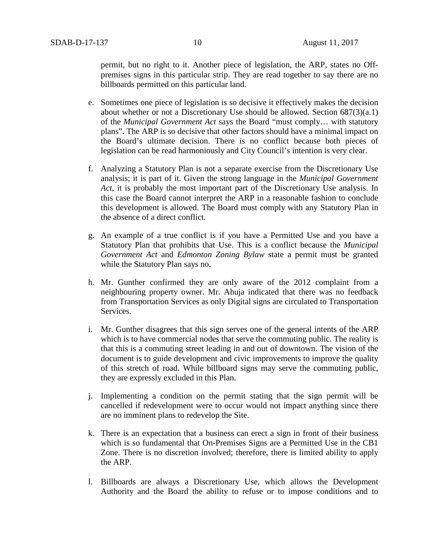permit, but no right to it. Another piece of legislation, the ARP, states no Offpremises signs in this particular strip. They are read together to say there are no billboards permitted on this particular land.

- e. Sometimes one piece of legislation is so decisive it effectively makes the decision about whether or not a Discretionary Use should be allowed. Section 687(3)(a.1) of the *Municipal Government Act* says the Board "must comply… with statutory plans". The ARP is so decisive that other factors should have a minimal impact on the Board's ultimate decision. There is no conflict because both pieces of legislation can be read harmoniously and City Council's intention is very clear.
- f. Analyzing a Statutory Plan is not a separate exercise from the Discretionary Use analysis; it is part of it. Given the strong language in the *Municipal Government Act*, it is probably the most important part of the Discretionary Use analysis. In this case the Board cannot interpret the ARP in a reasonable fashion to conclude this development is allowed. The Board must comply with any Statutory Plan in the absence of a direct conflict.
- g. An example of a true conflict is if you have a Permitted Use and you have a Statutory Plan that prohibits that Use. This is a conflict because the *Municipal Government Act* and *Edmonton Zoning Bylaw* state a permit must be granted while the Statutory Plan says no.
- h. Mr. Gunther confirmed they are only aware of the 2012 complaint from a neighbouring property owner. Mr. Ahuja indicated that there was no feedback from Transportation Services as only Digital signs are circulated to Transportation Services.
- i. Mr. Gunther disagrees that this sign serves one of the general intents of the ARP which is to have commercial nodes that serve the commuting public. The reality is that this is a commuting street leading in and out of downtown. The vision of the document is to guide development and civic improvements to improve the quality of this stretch of road. While billboard signs may serve the commuting public, they are expressly excluded in this Plan.
- j. Implementing a condition on the permit stating that the sign permit will be cancelled if redevelopment were to occur would not impact anything since there are no imminent plans to redevelop the Site.
- k. There is an expectation that a business can erect a sign in front of their business which is so fundamental that On-Premises Signs are a Permitted Use in the CB1 Zone. There is no discretion involved; therefore, there is limited ability to apply the ARP.
- l. Billboards are always a Discretionary Use, which allows the Development Authority and the Board the ability to refuse or to impose conditions and to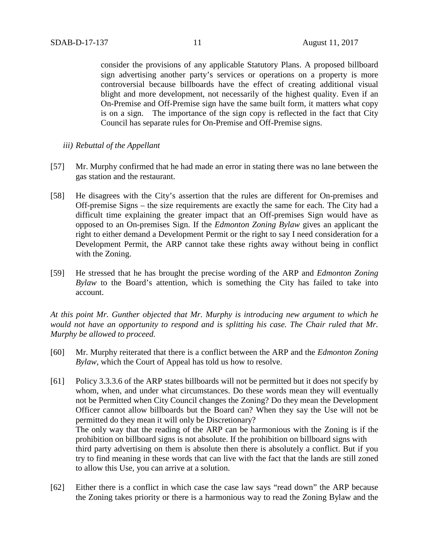consider the provisions of any applicable Statutory Plans. A proposed billboard sign advertising another party's services or operations on a property is more controversial because billboards have the effect of creating additional visual blight and more development, not necessarily of the highest quality. Even if an On-Premise and Off-Premise sign have the same built form, it matters what copy is on a sign. The importance of the sign copy is reflected in the fact that City Council has separate rules for On-Premise and Off-Premise signs.

## *iii) Rebuttal of the Appellant*

- [57] Mr. Murphy confirmed that he had made an error in stating there was no lane between the gas station and the restaurant.
- [58] He disagrees with the City's assertion that the rules are different for On-premises and Off-premise Signs – the size requirements are exactly the same for each. The City had a difficult time explaining the greater impact that an Off-premises Sign would have as opposed to an On-premises Sign. If the *Edmonton Zoning Bylaw* gives an applicant the right to either demand a Development Permit or the right to say I need consideration for a Development Permit, the ARP cannot take these rights away without being in conflict with the Zoning.
- [59] He stressed that he has brought the precise wording of the ARP and *Edmonton Zoning Bylaw* to the Board's attention, which is something the City has failed to take into account.

*At this point Mr. Gunther objected that Mr. Murphy is introducing new argument to which he would not have an opportunity to respond and is splitting his case. The Chair ruled that Mr. Murphy be allowed to proceed.*

- [60] Mr. Murphy reiterated that there is a conflict between the ARP and the *Edmonton Zoning Bylaw,* which the Court of Appeal has told us how to resolve.
- [61] Policy 3.3.3.6 of the ARP states billboards will not be permitted but it does not specify by whom, when, and under what circumstances. Do these words mean they will eventually not be Permitted when City Council changes the Zoning? Do they mean the Development Officer cannot allow billboards but the Board can? When they say the Use will not be permitted do they mean it will only be Discretionary? The only way that the reading of the ARP can be harmonious with the Zoning is if the prohibition on billboard signs is not absolute. If the prohibition on billboard signs with third party advertising on them is absolute then there is absolutely a conflict. But if you try to find meaning in these words that can live with the fact that the lands are still zoned to allow this Use, you can arrive at a solution.
- [62] Either there is a conflict in which case the case law says "read down" the ARP because the Zoning takes priority or there is a harmonious way to read the Zoning Bylaw and the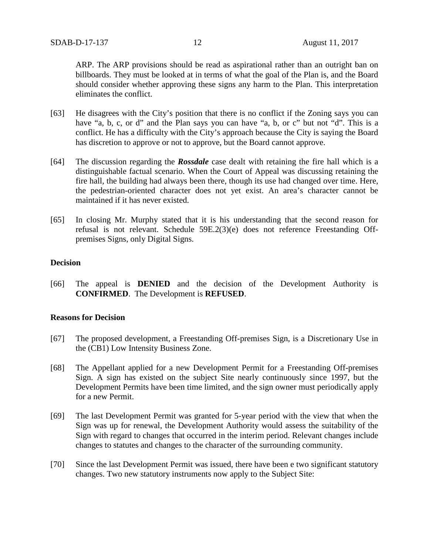ARP. The ARP provisions should be read as aspirational rather than an outright ban on billboards. They must be looked at in terms of what the goal of the Plan is, and the Board should consider whether approving these signs any harm to the Plan. This interpretation eliminates the conflict.

- [63] He disagrees with the City's position that there is no conflict if the Zoning says you can have "a, b, c, or d" and the Plan says you can have "a, b, or c" but not "d". This is a conflict. He has a difficulty with the City's approach because the City is saying the Board has discretion to approve or not to approve, but the Board cannot approve.
- [64] The discussion regarding the *Rossdale* case dealt with retaining the fire hall which is a distinguishable factual scenario. When the Court of Appeal was discussing retaining the fire hall, the building had always been there, though its use had changed over time. Here, the pedestrian-oriented character does not yet exist. An area's character cannot be maintained if it has never existed.
- [65] In closing Mr. Murphy stated that it is his understanding that the second reason for refusal is not relevant. Schedule 59E.2(3)(e) does not reference Freestanding Offpremises Signs, only Digital Signs.

## **Decision**

[66] The appeal is **DENIED** and the decision of the Development Authority is **CONFIRMED**. The Development is **REFUSED**.

## **Reasons for Decision**

- [67] The proposed development, a Freestanding Off-premises Sign, is a Discretionary Use in the (CB1) Low Intensity Business Zone.
- [68] The Appellant applied for a new Development Permit for a Freestanding Off-premises Sign. A sign has existed on the subject Site nearly continuously since 1997, but the Development Permits have been time limited, and the sign owner must periodically apply for a new Permit.
- [69] The last Development Permit was granted for 5-year period with the view that when the Sign was up for renewal, the Development Authority would assess the suitability of the Sign with regard to changes that occurred in the interim period. Relevant changes include changes to statutes and changes to the character of the surrounding community.
- [70] Since the last Development Permit was issued, there have been e two significant statutory changes. Two new statutory instruments now apply to the Subject Site: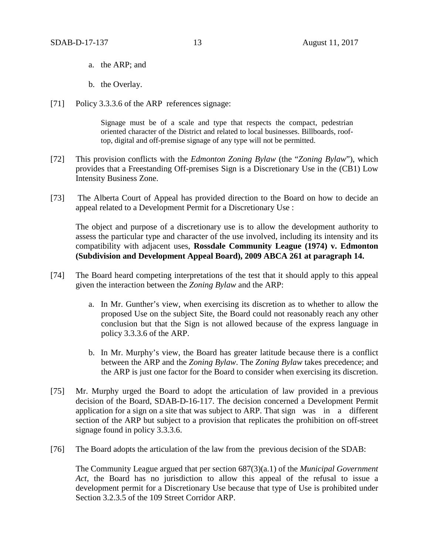- a. the ARP; and
- b. the Overlay.
- [71] Policy 3.3.3.6 of the ARP references signage:

Signage must be of a scale and type that respects the compact, pedestrian oriented character of the District and related to local businesses. Billboards, rooftop, digital and off-premise signage of any type will not be permitted.

- [72] This provision conflicts with the *Edmonton Zoning Bylaw* (the "*Zoning Bylaw*"), which provides that a Freestanding Off-premises Sign is a Discretionary Use in the (CB1) Low Intensity Business Zone.
- [73] The Alberta Court of Appeal has provided direction to the Board on how to decide an appeal related to a Development Permit for a Discretionary Use :

The object and purpose of a discretionary use is to allow the development authority to assess the particular type and character of the use involved, including its intensity and its compatibility with adjacent uses, **Rossdale Community League (1974) v. Edmonton (Subdivision and Development Appeal Board), 2009 ABCA 261 at paragraph 14.** 

- [74] The Board heard competing interpretations of the test that it should apply to this appeal given the interaction between the *Zoning Bylaw* and the ARP:
	- a. In Mr. Gunther's view, when exercising its discretion as to whether to allow the proposed Use on the subject Site, the Board could not reasonably reach any other conclusion but that the Sign is not allowed because of the express language in policy 3.3.3.6 of the ARP.
	- b. In Mr. Murphy's view, the Board has greater latitude because there is a conflict between the ARP and the *Zoning Bylaw*. The *Zoning Bylaw* takes precedence; and the ARP is just one factor for the Board to consider when exercising its discretion.
- [75] Mr. Murphy urged the Board to adopt the articulation of law provided in a previous decision of the Board, SDAB-D-16-117. The decision concerned a Development Permit application for a sign on a site that was subject to ARP. That sign was in a different section of the ARP but subject to a provision that replicates the prohibition on off-street signage found in policy 3.3.3.6.
- [76] The Board adopts the articulation of the law from the previous decision of the SDAB:

The Community League argued that per section 687(3)(a.1) of the *Municipal Government Act*, the Board has no jurisdiction to allow this appeal of the refusal to issue a development permit for a Discretionary Use because that type of Use is prohibited under Section 3.2.3.5 of the 109 Street Corridor ARP.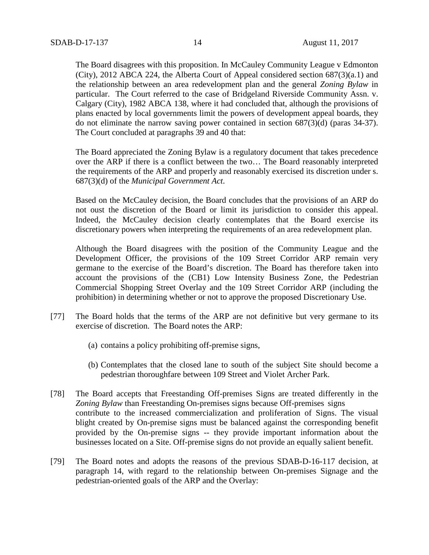The Board disagrees with this proposition. In McCauley Community League v Edmonton (City), 2012 ABCA 224, the Alberta Court of Appeal considered section 687(3)(a.1) and the relationship between an area redevelopment plan and the general *Zoning Bylaw* in particular. The Court referred to the case of Bridgeland Riverside Community Assn. v. Calgary (City), 1982 ABCA 138, where it had concluded that, although the provisions of plans enacted by local governments limit the powers of development appeal boards, they do not eliminate the narrow saving power contained in section 687(3)(d) (paras 34-37). The Court concluded at paragraphs 39 and 40 that:

The Board appreciated the Zoning Bylaw is a regulatory document that takes precedence over the ARP if there is a conflict between the two… The Board reasonably interpreted the requirements of the ARP and properly and reasonably exercised its discretion under s. 687(3)(d) of the *Municipal Government Act*.

Based on the McCauley decision, the Board concludes that the provisions of an ARP do not oust the discretion of the Board or limit its jurisdiction to consider this appeal. Indeed, the McCauley decision clearly contemplates that the Board exercise its discretionary powers when interpreting the requirements of an area redevelopment plan.

Although the Board disagrees with the position of the Community League and the Development Officer, the provisions of the 109 Street Corridor ARP remain very germane to the exercise of the Board's discretion. The Board has therefore taken into account the provisions of the (CB1) Low Intensity Business Zone, the Pedestrian Commercial Shopping Street Overlay and the 109 Street Corridor ARP (including the prohibition) in determining whether or not to approve the proposed Discretionary Use.

- [77] The Board holds that the terms of the ARP are not definitive but very germane to its exercise of discretion. The Board notes the ARP:
	- (a) contains a policy prohibiting off-premise signs,
	- (b) Contemplates that the closed lane to south of the subject Site should become a pedestrian thoroughfare between 109 Street and Violet Archer Park.
- [78] The Board accepts that Freestanding Off-premises Signs are treated differently in the *Zoning Bylaw* than Freestanding On-premises signs because Off-premises signs contribute to the increased commercialization and proliferation of Signs. The visual blight created by On-premise signs must be balanced against the corresponding benefit provided by the On-premise signs -- they provide important information about the businesses located on a Site. Off-premise signs do not provide an equally salient benefit.
- [79] The Board notes and adopts the reasons of the previous SDAB-D-16-117 decision, at paragraph 14, with regard to the relationship between On-premises Signage and the pedestrian-oriented goals of the ARP and the Overlay: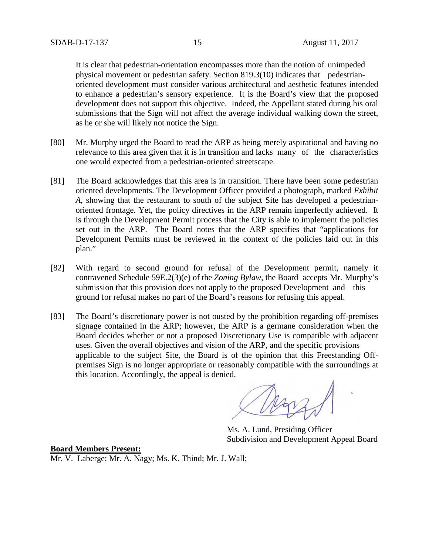It is clear that pedestrian-orientation encompasses more than the notion of unimpeded physical movement or pedestrian safety. Section 819.3(10) indicates that pedestrianoriented development must consider various architectural and aesthetic features intended to enhance a pedestrian's sensory experience. It is the Board's view that the proposed development does not support this objective. Indeed, the Appellant stated during his oral submissions that the Sign will not affect the average individual walking down the street, as he or she will likely not notice the Sign.

- [80] Mr. Murphy urged the Board to read the ARP as being merely aspirational and having no relevance to this area given that it is in transition and lacks many of the characteristics one would expected from a pedestrian-oriented streetscape.
- [81] The Board acknowledges that this area is in transition. There have been some pedestrian oriented developments. The Development Officer provided a photograph, marked *Exhibit A*, showing that the restaurant to south of the subject Site has developed a pedestrianoriented frontage. Yet, the policy directives in the ARP remain imperfectly achieved. It is through the Development Permit process that the City is able to implement the policies set out in the ARP. The Board notes that the ARP specifies that "applications for Development Permits must be reviewed in the context of the policies laid out in this plan."
- [82] With regard to second ground for refusal of the Development permit, namely it contravened Schedule 59E.2(3)(e) of the *Zoning Bylaw*, the Board accepts Mr. Murphy's submission that this provision does not apply to the proposed Development and this ground for refusal makes no part of the Board's reasons for refusing this appeal.
- [83] The Board's discretionary power is not ousted by the prohibition regarding off-premises signage contained in the ARP; however, the ARP is a germane consideration when the Board decides whether or not a proposed Discretionary Use is compatible with adjacent uses. Given the overall objectives and vision of the ARP, and the specific provisions applicable to the subject Site, the Board is of the opinion that this Freestanding Offpremises Sign is no longer appropriate or reasonably compatible with the surroundings at this location. Accordingly, the appeal is denied.

Ms. A. Lund, Presiding Officer Subdivision and Development Appeal Board

## **Board Members Present:**

Mr. V. Laberge; Mr. A. Nagy; Ms. K. Thind; Mr. J. Wall;